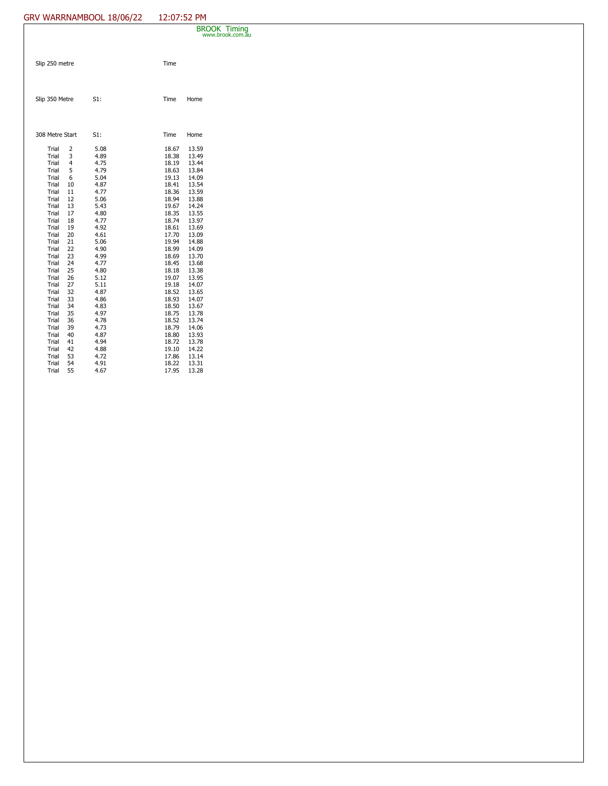## GRV WARRNAMBOOL 18/06/22 12:07:52 PM

|                                                                                                                                                                                                             |                                                                                                                                   |                                                                                                                                                                                      |                                                                                                                                                                                                             |                                                                                                                                                                                                             | <b>BROOK Timing</b><br>www.brook.com.au |
|-------------------------------------------------------------------------------------------------------------------------------------------------------------------------------------------------------------|-----------------------------------------------------------------------------------------------------------------------------------|--------------------------------------------------------------------------------------------------------------------------------------------------------------------------------------|-------------------------------------------------------------------------------------------------------------------------------------------------------------------------------------------------------------|-------------------------------------------------------------------------------------------------------------------------------------------------------------------------------------------------------------|-----------------------------------------|
| Slip 250 metre                                                                                                                                                                                              |                                                                                                                                   |                                                                                                                                                                                      | Time                                                                                                                                                                                                        |                                                                                                                                                                                                             |                                         |
| Slip 350 Metre                                                                                                                                                                                              |                                                                                                                                   | S1:                                                                                                                                                                                  | Time                                                                                                                                                                                                        | Home                                                                                                                                                                                                        |                                         |
| 308 Metre Start                                                                                                                                                                                             |                                                                                                                                   | S1:                                                                                                                                                                                  | Time                                                                                                                                                                                                        | Home                                                                                                                                                                                                        |                                         |
| Trial<br>Trial<br>Trial<br>Trial<br>Trial<br>Trial<br>Trial<br>Trial<br>Trial<br>Trial<br>Trial<br>Trial<br>Trial<br>Trial<br>Trial<br>Trial<br>Trial<br>Trial<br>Trial<br>Trial<br>Trial<br>Trial<br>Trial | 2<br>3<br>4<br>5<br>6<br>10<br>11<br>12<br>13<br>17<br>18<br>19<br>20<br>21<br>22<br>23<br>24<br>25<br>26<br>27<br>32<br>33<br>34 | 5.08<br>4.89<br>4.75<br>4.79<br>5.04<br>4.87<br>4.77<br>5.06<br>5.43<br>4.80<br>4.77<br>4.92<br>4.61<br>5.06<br>4.90<br>4.99<br>4.77<br>4.80<br>5.12<br>5.11<br>4.87<br>4.86<br>4.83 | 18.67<br>18.38<br>18.19<br>18.63<br>19.13<br>18.41<br>18.36<br>18.94<br>19.67<br>18.35<br>18.74<br>18.61<br>17.70<br>19.94<br>18.99<br>18.69<br>18.45<br>18.18<br>19.07<br>19.18<br>18.52<br>18.93<br>18.50 | 13.59<br>13.49<br>13.44<br>13.84<br>14.09<br>13.54<br>13.59<br>13.88<br>14.24<br>13.55<br>13.97<br>13.69<br>13.09<br>14.88<br>14.09<br>13.70<br>13.68<br>13.38<br>13.95<br>14.07<br>13.65<br>14.07<br>13.67 |                                         |
| Trial<br>Trial<br>Trial<br>Trial<br>Trial<br>Trial<br>Trial                                                                                                                                                 | 35<br>36<br>39<br>40<br>41<br>42<br>53                                                                                            | 4.97<br>4.78<br>4.73<br>4.87<br>4.94<br>4.88<br>4.72                                                                                                                                 | 18.75<br>18.52<br>18.79<br>18.80<br>18.72<br>19.10<br>17.86                                                                                                                                                 | 13.78<br>13.74<br>14.06<br>13.93<br>13.78<br>14.22<br>13.14                                                                                                                                                 |                                         |
| Trial<br>Trial                                                                                                                                                                                              | 54<br>55                                                                                                                          | 4.91<br>4.67                                                                                                                                                                         | 18.22<br>17.95                                                                                                                                                                                              | 13.31<br>13.28                                                                                                                                                                                              |                                         |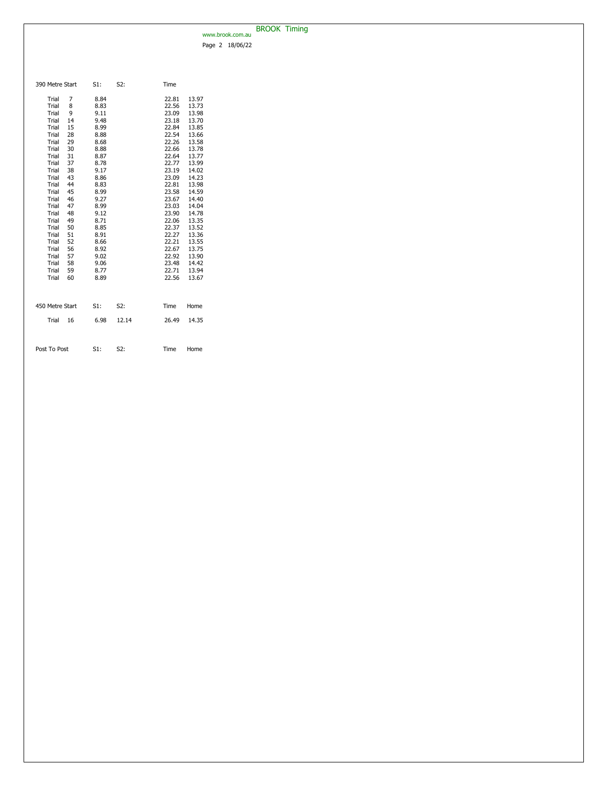## BROOK Timing www.brook.com.au

Page 2 18/06/22

| 390 Metre Start                                                                                                                                                                                                                                                                                                                                                                                 | S1:                                                                                                                                                                                                          | S2:   | Time                                                                                                                                                                                                                                                                                                                                                                                                                                                                             |
|-------------------------------------------------------------------------------------------------------------------------------------------------------------------------------------------------------------------------------------------------------------------------------------------------------------------------------------------------------------------------------------------------|--------------------------------------------------------------------------------------------------------------------------------------------------------------------------------------------------------------|-------|----------------------------------------------------------------------------------------------------------------------------------------------------------------------------------------------------------------------------------------------------------------------------------------------------------------------------------------------------------------------------------------------------------------------------------------------------------------------------------|
| Trial<br>7<br>Trial<br>8<br>Trial<br>9<br>Trial<br>14<br>Trial<br>15<br>Trial<br>28<br>29<br>Trial<br>Trial<br>30<br>31<br>Trial<br>37<br>Trial<br>38<br>Trial<br>Trial<br>43<br>Trial<br>44<br>45<br>Trial<br>46<br>Trial<br>Trial<br>47<br>Trial<br>48<br>Trial<br>49<br>50<br>Trial<br>51<br>Trial<br>52<br>Trial<br>56<br>Trial<br>Trial<br>57<br>Trial<br>58<br>Trial<br>59<br>Trial<br>60 | 8.84<br>8.83<br>9.11<br>9.48<br>8.99<br>8.88<br>8.68<br>8.88<br>8.87<br>8.78<br>9.17<br>8.86<br>8.83<br>8.99<br>9.27<br>8.99<br>9.12<br>8.71<br>8.85<br>8.91<br>8.66<br>8.92<br>9.02<br>9.06<br>8.77<br>8.89 |       | 22.81<br>13.97<br>22.56<br>13.73<br>23.09<br>13.98<br>23.18<br>13.70<br>22.84<br>13.85<br>22.54<br>13.66<br>22.26<br>13.58<br>22.66<br>13.78<br>22.64<br>13.77<br>22.77<br>13.99<br>23.19<br>14.02<br>14.23<br>23.09<br>22.81<br>13.98<br>14.59<br>23.58<br>23.67<br>14.40<br>23.03<br>14.04<br>23.90<br>14.78<br>22.06<br>13.35<br>22.37<br>13.52<br>13.36<br>22.27<br>22.21<br>13.55<br>22.67<br>13.75<br>22.92<br>13.90<br>23.48<br>14.42<br>22.71<br>13.94<br>22.56<br>13.67 |
| 450 Metre Start                                                                                                                                                                                                                                                                                                                                                                                 | S1:                                                                                                                                                                                                          | S2:   | Time<br>Home                                                                                                                                                                                                                                                                                                                                                                                                                                                                     |
| Trial<br>16                                                                                                                                                                                                                                                                                                                                                                                     | 6.98                                                                                                                                                                                                         | 12.14 | 14.35<br>26.49                                                                                                                                                                                                                                                                                                                                                                                                                                                                   |
| Post To Post                                                                                                                                                                                                                                                                                                                                                                                    | S1:                                                                                                                                                                                                          | S2:   | Time<br>Home                                                                                                                                                                                                                                                                                                                                                                                                                                                                     |